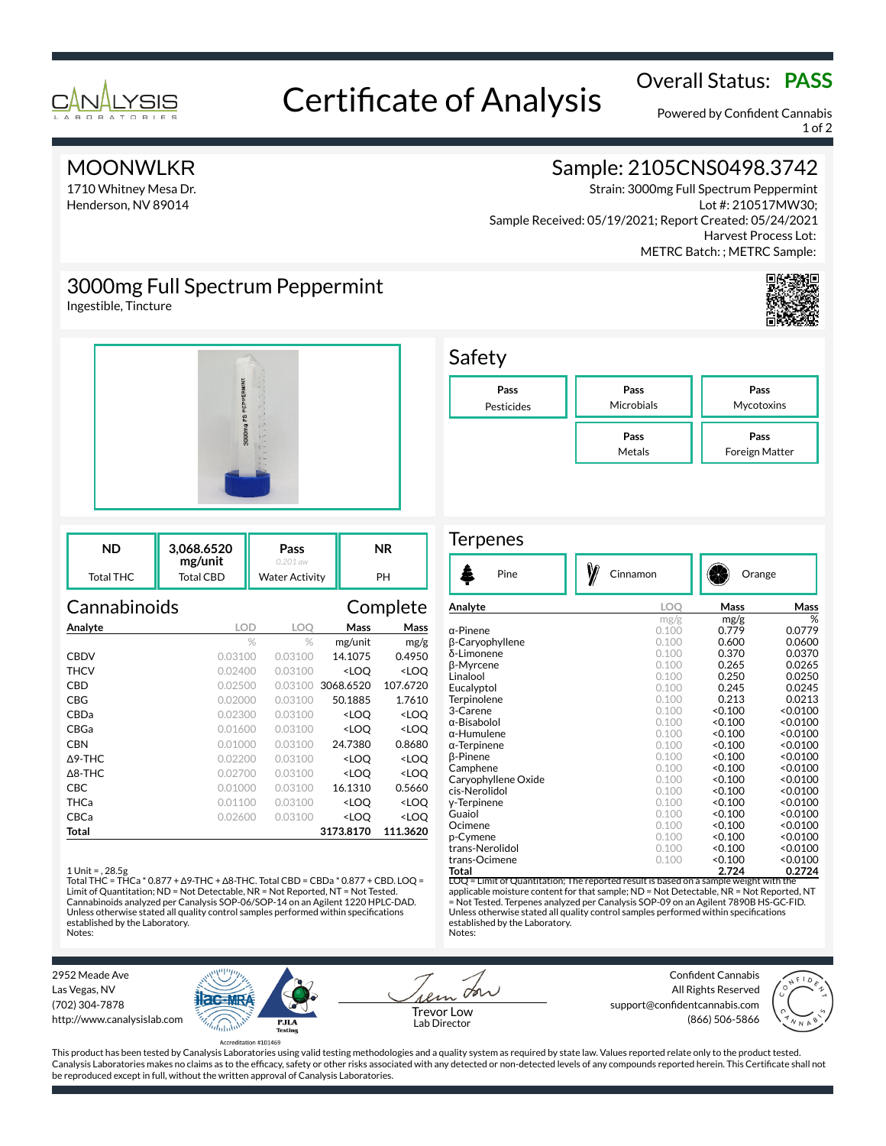

# Overall Status: **PASS**<br>Certificate of Analysis

Powered by Confident Cannabis 1 of 2

### **MOONWLKR**

1710 Whitney Mesa Dr. Henderson, NV 89014

# Sample: 2105CNS0498.3742

Strain: 3000mg Full Spectrum Peppermint Lot #: 210517MW30; Sample Received: 05/19/2021; Report Created: 05/24/2021 Harvest Process Lot: METRC Batch: ; METRC Sample:

# 3000mg Full Spectrum Peppermint

Ingestible, Tincture



| ND        | 3.068.6520<br>mg/unit | Pass<br>$0.201$ aw    | ΝR |
|-----------|-----------------------|-----------------------|----|
| Total THC | Total CBD             | <b>Water Activity</b> | PH |

| Cannabinoids      |            |         |                                                 | Complete            |
|-------------------|------------|---------|-------------------------------------------------|---------------------|
| Analyte           | <b>LOD</b> | LOO     | Mass                                            | Mass                |
|                   | $\%$       | $\%$    | mg/unit                                         | mg/g                |
| <b>CBDV</b>       | 0.03100    | 0.03100 | 14.1075                                         | 0.4950              |
| THCV              | 0.02400    | 0.03100 | <loq< th=""><th><loq< th=""></loq<></th></loq<> | <loq< th=""></loq<> |
| CBD               | 0.02500    | 0.03100 | 3068.6520                                       | 107.6720            |
| CBG               | 0.02000    | 0.03100 | 50.1885                                         | 1.7610              |
| CBDa              | 0.02300    | 0.03100 | <loq< th=""><th><loq< th=""></loq<></th></loq<> | <loq< th=""></loq<> |
| CBGa              | 0.01600    | 0.03100 | <loq< th=""><th><loq< th=""></loq<></th></loq<> | <loq< th=""></loq<> |
| <b>CBN</b>        | 0.01000    | 0.03100 | 24.7380                                         | 0.8680              |
| $\Delta$ 9-THC    | 0.02200    | 0.03100 | <loq< th=""><th><loq< th=""></loq<></th></loq<> | <loq< th=""></loq<> |
| $\triangle$ 8-THC | 0.02700    | 0.03100 | <loo< th=""><th><loq< th=""></loq<></th></loo<> | <loq< th=""></loq<> |
| CBC               | 0.01000    | 0.03100 | 16.1310                                         | 0.5660              |
| THCa              | 0.01100    | 0.03100 | <loq< th=""><th><loq< th=""></loq<></th></loq<> | <loq< th=""></loq<> |
| CBCa              | 0.02600    | 0.03100 | <loo< th=""><th><loo< th=""></loo<></th></loo<> | <loo< th=""></loo<> |
| Total             |            |         | 3173.8170                                       | 111.3620            |

### 1 Unit = , 28.5g

Total THC = THCa \* 0.877 + ∆9-THC + ∆8-THC. Total CBD = CBDa \* 0.877 + CBD. LOQ = Limit of Quantitation; ND = Not Detectable, NR = Not Reported, NT = Not Tested. Cannabinoids analyzed per Canalysis SOP-06/SOP-14 on an Agilent 1220 HPLC-DAD. Unless otherwise stated all quality control samples performed within specifications established by the Laboratory. Notes:



### **Terpenes**

| B<br>Pine                         | Cinnamon | Orange  |          |
|-----------------------------------|----------|---------|----------|
| Analyte                           | LOO      | Mass    | Mass     |
|                                   | mg/g     | mg/g    | %        |
| α-Pinene                          | 0.100    | 0.779   | 0.0779   |
| β-Caryophyllene                   | 0.100    | 0.600   | 0.0600   |
| δ-Limonene                        | 0.100    | 0.370   | 0.0370   |
| <b>B-Myrcene</b>                  | 0.100    | 0.265   | 0.0265   |
| Linalool                          | 0.100    | 0.250   | 0.0250   |
| Eucalyptol                        | 0.100    | 0.245   | 0.0245   |
| Terpinolene                       | 0.100    | 0.213   | 0.0213   |
| 3-Carene                          | 0.100    | < 0.100 | < 0.0100 |
| α-Bisabolol                       | 0.100    | < 0.100 | < 0.0100 |
| α-Humulene                        | 0.100    | < 0.100 | < 0.0100 |
| $\alpha$ -Terpinene               | 0.100    | < 0.100 | < 0.0100 |
| <b>B-Pinene</b>                   | 0.100    | < 0.100 | < 0.0100 |
| Camphene                          | 0.100    | < 0.100 | < 0.0100 |
| Caryophyllene Oxide               | 0.100    | < 0.100 | < 0.0100 |
| cis-Nerolidol                     | 0.100    | < 0.100 | < 0.0100 |
| y-Terpinene                       | 0.100    | < 0.100 | < 0.0100 |
| Guaiol                            | 0.100    | < 0.100 | < 0.0100 |
| Ocimene                           | 0.100    | < 0.100 | < 0.0100 |
| p-Cymene                          | 0.100    | < 0.100 | < 0.0100 |
| trans-Nerolidol                   | 0.100    | < 0.100 | < 0.0100 |
| trans-Ocimene                     | 0.100    | < 0.100 | < 0.0100 |
| Total<br>$\overline{\phantom{a}}$ |          | 2.724   | 0.2724   |

= Limit of Quantitation; The reported result is based on a sample weight with the applicable moisture content for that sample; ND = Not Detectable, NR = Not Reported, NT = Not Tested. Terpenes analyzed per Canalysis SOP-09 on an Agilent 7890B HS-GC-FID. Unless otherwise stated all quality control samples performed within specifications established by the Laboratory. Notes:

2952 Meade Ave Las Vegas, NV (702) 304-7878 http://www.canalysislab.com



on Lab Director

Confident Cannabis All Rights Reserved support@confidentcannabis.com Support@commentealmabis.com<br>| 1 ab Director (866) 506-5866



This product has been tested by Canalysis Laboratories using valid testing methodologies and a quality system as required by state law. Values reported relate only to the product tested. Canalysis Laboratories makes no claims as to the efficacy, safety or other risks associated with any detected or non-detected levels of any compounds reported herein. This Certificate shall not be reproduced except in full, without the written approval of Canalysis Laboratories.